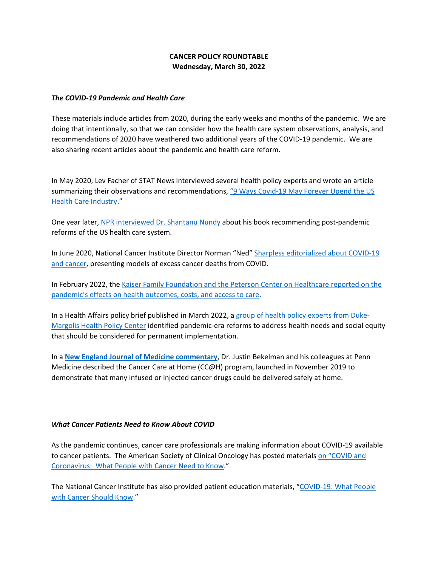# **CANCER POLICY ROUNDTABLE Wednesday, March 30, 2022**

#### *The COVID-19 Pandemic and Health Care*

These materials include articles from 2020, during the early weeks and months of the pandemic. We are doing that intentionally, so that we can consider how the health care system observations, analysis, and recommendations of 2020 have weathered two additional years of the COVID-19 pandemic. We are also sharing recent articles about the pandemic and health care reform.

In May 2020, Lev Facher of STAT News interviewed several health policy experts and wrote an article summarizing their observations and recommendations[, "9 Ways Covid-19 May Forever Upend the US](https://www.statnews.com/2020/05/19/9-ways-covid-19-forever-upend-health-care/)  [Health Care Industry.](https://www.statnews.com/2020/05/19/9-ways-covid-19-forever-upend-health-care/)"

One year later, [NPR interviewed Dr. Shantanu Nundy](https://www.npr.org/sections/health-shots/2021/05/13/996233365/how-health-care-in-the-u-s-may-change-after-covid-an-optimists-outlook) about his book recommending post-pandemic reforms of the US health care system.

In June 2020, National Cancer Institute Director Norman "Ned[" Sharpless editorialized about COVID-19](https://www.science.org/doi/epdf/10.1126/science.abd3377)  [and cancer,](https://www.science.org/doi/epdf/10.1126/science.abd3377) presenting models of excess cancer deaths from COVID.

In February 2022, the [Kaiser Family Foundation and the Peterson Center on Healthcare reported on](https://www.healthaffairs.org/do/10.1377/forefront.20220201.857067/) the [pandemic's effects on health outcomes, costs, and access to care.](https://www.healthaffairs.org/do/10.1377/forefront.20220201.857067/)

In a Health Affairs policy brief published in March 2022, a [group of health policy experts from Duke-](https://www.healthaffairs.org/do/10.1377/hpb20220210.360906/full/)[Margolis Health Policy Center](https://www.healthaffairs.org/do/10.1377/hpb20220210.360906/full/) identified pandemic-era reforms to address health needs and social equity that should be considered for permanent implementation.

In a **[New England Journal of Medicine commentary](https://catalyst.nejm.org/doi/full/10.1056/CAT.20.0258)**, Dr. Justin Bekelman and his colleagues at Penn Medicine described the Cancer Care at Home (CC@H) program, launched in November 2019 to demonstrate that many infused or injected cancer drugs could be delivered safely at home.

#### *What Cancer Patients Need to Know About COVID*

As the pandemic continues, cancer care professionals are making information about COVID-19 available to cancer patients. The American Society of Clinical Oncology has posted materials on "COVID and [Coronavirus: What People with Cancer Need to Know.](https://www.cancer.net/blog/2022-03/coronavirus-and-covid-19-what-people-with-cancer-need-know)"

The National Cancer Institute has also provided patient education materials, ["COVID-19: What People](https://www.cancer.gov/about-cancer/coronavirus/coronavirus-cancer-patient-information)  [with Cancer Should Know.](https://www.cancer.gov/about-cancer/coronavirus/coronavirus-cancer-patient-information)"